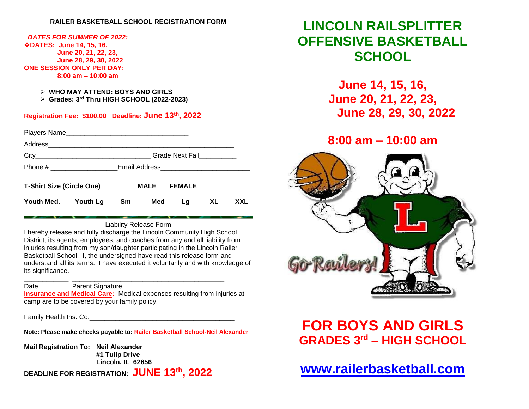### **RAILER BASKETBALL SCHOOL REGISTRATION FORM**

#### *DATES FOR SUMMER OF 2022:* ❖**DATES: June 14, 15, 16,**

 **June 20, 21, 22, 23, June 28, 29, 30, 2022 ONE SESSION ONLY PER DAY: 8:00 am – 10:00 am**

- ➢ **WHO MAY ATTEND: BOYS AND GIRLS**
- ➢ **Grades: 3 rd Thru HIGH SCHOOL (2022-2023)**

### **Registration Fee: \$100.00 Deadline: June 13 th, 2022**

| <b>T-Shirt Size (Circle One)</b> |  |    | MALE | <b>FEMALE</b> |     |     |
|----------------------------------|--|----|------|---------------|-----|-----|
| Youth Med. Youth Lg              |  | Sm | Med  | Lg            | XL. | XXL |

### Liability Release Form

I hereby release and fully discharge the Lincoln Community High School District, its agents, employees, and coaches from any and all liability from injuries resulting from my son/daughter participating in the Lincoln Railer Basketball School. I, the undersigned have read this release form and understand all its terms. I have executed it voluntarily and with knowledge of its significance.

#### \_\_\_\_\_\_\_\_\_\_\_\_ \_\_\_\_\_\_\_\_\_\_\_\_\_\_\_\_\_\_\_\_\_\_\_\_\_\_\_\_\_\_\_\_\_\_\_\_\_\_\_\_\_ Date Parent Signature

**Insurance and Medical Care:** Medical expenses resulting from injuries at

camp are to be covered by your family policy.

Family Health Ins. Co.

**Note: Please make checks payable to: Railer Basketball School-Neil Alexander**

**Mail Registration To: Neil Alexander #1 Tulip Drive Lincoln, IL 62656**

**DEADLINE FOR REGISTRATION: JUNE 13 th, 2022**

# **LINCOLN RAILSPLITTER OFFENSIVE BASKETBALL SCHOOL**

**June 14, 15, 16, June 20, 21, 22, 23, June 28, 29, 30, 2022**

# **8:00 am – 10:00 am**



# **FOR BOYS AND GIRLS GRADES 3 rd – HIGH SCHOOL**

**[www.railerbasketball.com](http://www.railerbasketball.com/)**